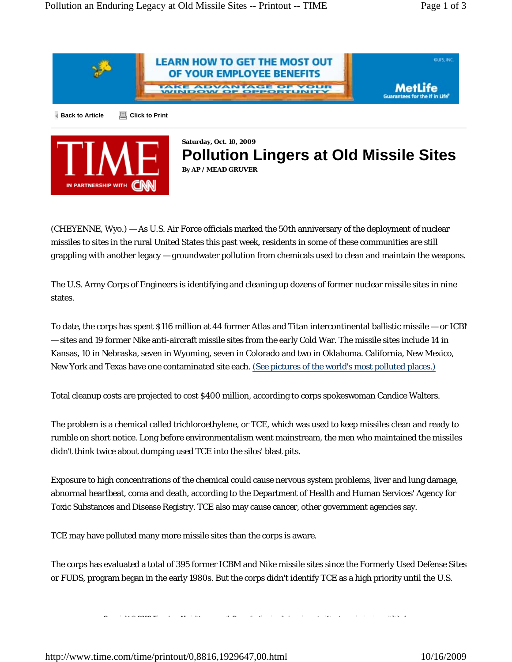

(CHEYENNE, Wyo.) — As U.S. Air Force officials marked the 50th anniversary of the deployment of nuclear missiles to sites in the rural United States this past week, residents in some of these communities are still grappling with another legacy — groundwater pollution from chemicals used to clean and maintain the weapons.

The U.S. Army Corps of Engineers is identifying and cleaning up dozens of former nuclear missile sites in nine states.

To date, the corps has spent \$116 million at 44 former Atlas and Titan intercontinental ballistic missile — or ICBM — sites and 19 former Nike anti-aircraft missile sites from the early Cold War. The missile sites include 14 in Kansas, 10 in Nebraska, seven in Wyoming, seven in Colorado and two in Oklahoma. California, New Mexico, New York and Texas have one contaminated site each. (See pictures of the world's most polluted places.)

Total cleanup costs are projected to cost \$400 million, according to corps spokeswoman Candice Walters.

The problem is a chemical called trichloroethylene, or TCE, which was used to keep missiles clean and ready to rumble on short notice. Long before environmentalism went mainstream, the men who maintained the missiles didn't think twice about dumping used TCE into the silos' blast pits.

Exposure to high concentrations of the chemical could cause nervous system problems, liver and lung damage, abnormal heartbeat, coma and death, according to the Department of Health and Human Services' Agency for Toxic Substances and Disease Registry. TCE also may cause cancer, other government agencies say.

TCE may have polluted many more missile sites than the corps is aware.

The corps has evaluated a total of 395 former ICBM and Nike missile sites since the Formerly Used Defense Sites or FUDS, program began in the early 1980s. But the corps didn't identify TCE as a high priority until the U.S.

C i ht of Connective all interactive and the contract of the results in the second contract of the second second<br>C

http://www.time.com/time/printout/0,8816,1929647,00.html 10/16/2009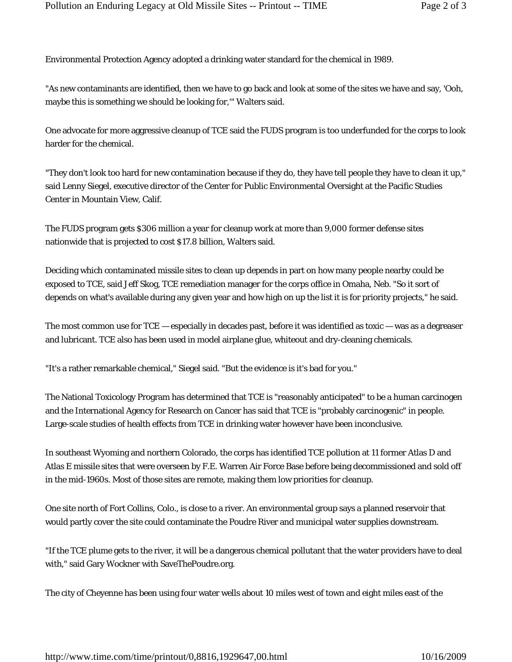Environmental Protection Agency adopted a drinking water standard for the chemical in 1989.

"As new contaminants are identified, then we have to go back and look at some of the sites we have and say, 'Ooh, maybe this is something we should be looking for,'" Walters said.

One advocate for more aggressive cleanup of TCE said the FUDS program is too underfunded for the corps to look harder for the chemical.

"They don't look too hard for new contamination because if they do, they have tell people they have to clean it up," said Lenny Siegel, executive director of the Center for Public Environmental Oversight at the Pacific Studies Center in Mountain View, Calif.

The FUDS program gets \$306 million a year for cleanup work at more than 9,000 former defense sites nationwide that is projected to cost \$17.8 billion, Walters said.

Deciding which contaminated missile sites to clean up depends in part on how many people nearby could be exposed to TCE, said Jeff Skog, TCE remediation manager for the corps office in Omaha, Neb. "So it sort of depends on what's available during any given year and how high on up the list it is for priority projects," he said.

The most common use for TCE — especially in decades past, before it was identified as toxic — was as a degreaser and lubricant. TCE also has been used in model airplane glue, whiteout and dry-cleaning chemicals.

"It's a rather remarkable chemical," Siegel said. "But the evidence is it's bad for you."

The National Toxicology Program has determined that TCE is "reasonably anticipated" to be a human carcinogen and the International Agency for Research on Cancer has said that TCE is "probably carcinogenic" in people. Large-scale studies of health effects from TCE in drinking water however have been inconclusive.

In southeast Wyoming and northern Colorado, the corps has identified TCE pollution at 11 former Atlas D and Atlas E missile sites that were overseen by F.E. Warren Air Force Base before being decommissioned and sold off in the mid-1960s. Most of those sites are remote, making them low priorities for cleanup.

One site north of Fort Collins, Colo., is close to a river. An environmental group says a planned reservoir that would partly cover the site could contaminate the Poudre River and municipal water supplies downstream.

"If the TCE plume gets to the river, it will be a dangerous chemical pollutant that the water providers have to deal with," said Gary Wockner with SaveThePoudre.org.

The city of Cheyenne has been using four water wells about 10 miles west of town and eight miles east of the